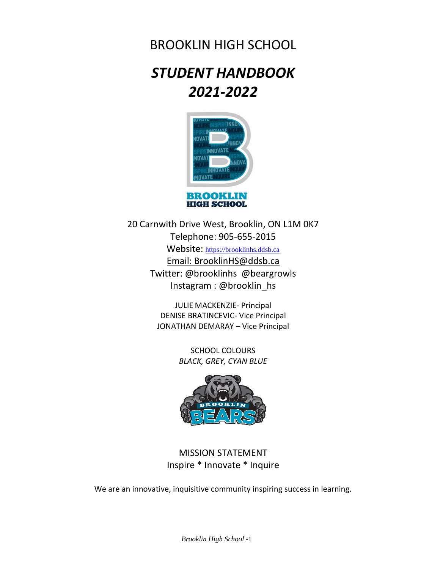# BROOKLIN HIGH SCHOOL

# *STUDENT HANDBOOK 2021-2022*



20 Carnwith Drive West, Brooklin, ON L1M 0K7 Telephone: 905-655-2015 Website: [https://brooklinhs.ddsb.ca](https://brooklinhs.ddsb.ca/) Email: BrooklinHS@ddsb.ca Twitter: @brooklinhs @beargrowls Instagram : @brooklin\_hs

> JULIE MACKENZIE- Principal DENISE BRATINCEVIC- Vice Principal JONATHAN DEMARAY – Vice Principal

> > SCHOOL COLOURS *BLACK, GREY, CYAN BLUE*



MISSION STATEMENT Inspire \* Innovate \* Inquire

We are an innovative, inquisitive community inspiring success in learning.

*Brooklin High School* -1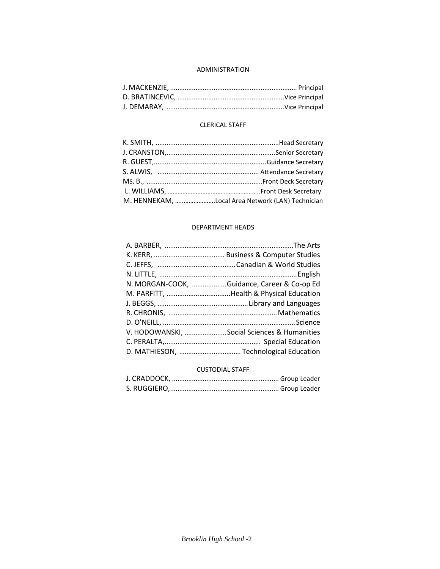# ADMINISTRATION

# CLERICAL STAFF

| M. HENNEKAM, Local Area Network (LAN) Technician |
|--------------------------------------------------|

# DEPARTMENT HEADS

| N. MORGAN-COOK, Guidance, Career & Co-op Ed |
|---------------------------------------------|
|                                             |
|                                             |
|                                             |
|                                             |
| V. HODOWANSKI, Social Sciences & Humanities |
|                                             |
|                                             |
|                                             |

# CUSTODIAL STAFF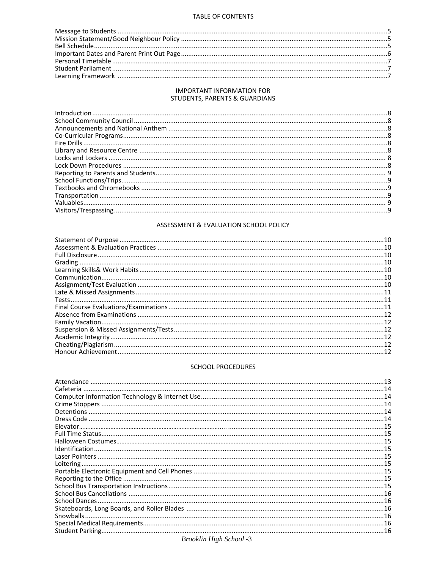# TABLE OF CONTENTS

# **IMPORTANT INFORMATION FOR** STUDENTS, PARENTS & GUARDIANS

# ASSESSMENT & EVALUATION SCHOOL POLICY

# SCHOOL PROCEDURES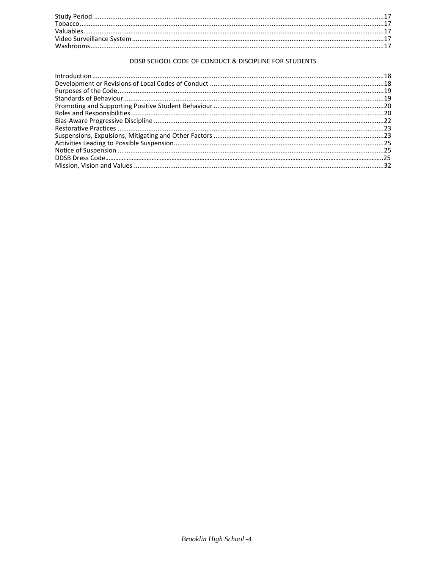# DDSB SCHOOL CODE OF CONDUCT & DISCIPLINE FOR STUDENTS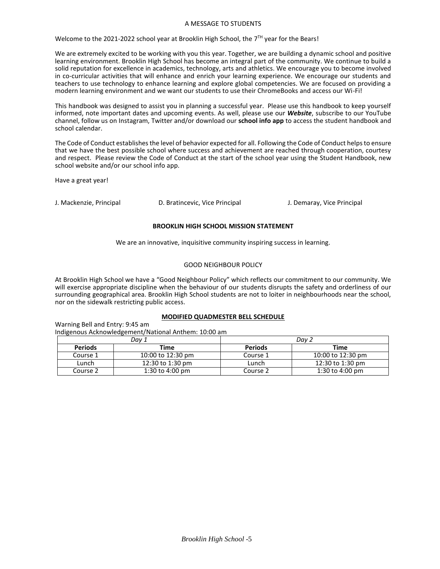#### A MESSAGE TO STUDENTS

Welcome to the 2021-2022 school year at Brooklin High School, the  $7^{\text{TH}}$  year for the Bears!

We are extremely excited to be working with you this year. Together, we are building a dynamic school and positive learning environment. Brooklin High School has become an integral part of the community. We continue to build a solid reputation for excellence in academics, technology, arts and athletics. We encourage you to become involved in co-curricular activities that will enhance and enrich your learning experience. We encourage our students and teachers to use technology to enhance learning and explore global competencies. We are focused on providing a modern learning environment and we want our students to use their ChromeBooks and access our Wi-Fi!

This handbook was designed to assist you in planning a successful year. Please use this handbook to keep yourself informed, note important dates and upcoming events. As well, please use our *Website*, subscribe to our YouTube channel, follow us on Instagram, Twitter and/or download our **school info app** to access the student handbook and school calendar.

The Code of Conduct establishes the level of behavior expected for all. Following the Code of Conduct helps to ensure that we have the best possible school where success and achievement are reached through cooperation, courtesy and respect. Please review the Code of Conduct at the start of the school year using the Student Handbook, new school website and/or our school info app.

Have a great year!

J. Mackenzie, Principal D. Bratincevic, Vice Principal J. Demaray, Vice Principal

### **BROOKLIN HIGH SCHOOL MISSION STATEMENT**

We are an innovative, inquisitive community inspiring success in learning.

### GOOD NEIGHBOUR POLICY

At Brooklin High School we have a "Good Neighbour Policy" which reflects our commitment to our community. We will exercise appropriate discipline when the behaviour of our students disrupts the safety and orderliness of our surrounding geographical area. Brooklin High School students are not to loiter in neighbourhoods near the school, nor on the sidewalk restricting public access.

## **MODIFIED QUADMESTER BELL SCHEDULE**

Warning Bell and Entry: 9:45 am Indigenous Acknowledgement/National Anthem: 10:00 am

| Dav 1          |                    | Dav ∠          |                   |
|----------------|--------------------|----------------|-------------------|
| <b>Periods</b> | Time               | <b>Periods</b> | Time              |
| Course 1       | 10:00 to 12:30 pm  | Course 1       | 10:00 to 12:30 pm |
| Lunch          | $12:30$ to 1:30 pm | Lunch          | 12:30 to 1:30 pm  |
| Course 2       | 1:30 to 4:00 pm    | Course 2       | 1:30 to 4:00 pm   |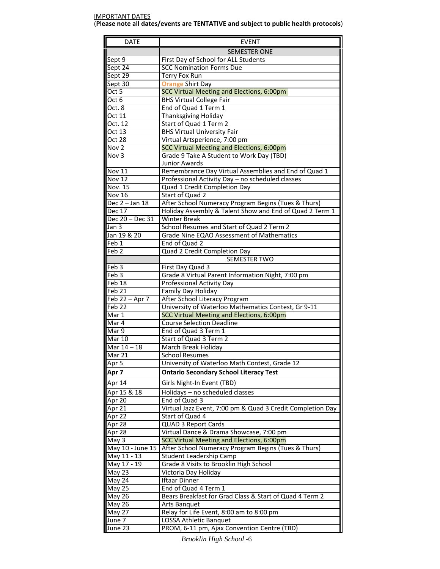#### IMPORTANT DATES (**Please note all dates/events are TENTATIVE and subject to public health protocols**)

| <b>DATE</b>                        | <b>EVENT</b>                                                                                                   |  |
|------------------------------------|----------------------------------------------------------------------------------------------------------------|--|
|                                    | <b>SEMESTER ONE</b>                                                                                            |  |
| Sept 9                             | First Day of School for ALL Students                                                                           |  |
| Sept 24                            | <b>SCC Nomination Forms Due</b>                                                                                |  |
| Sept 29                            | Terry Fox Run                                                                                                  |  |
| Sept 30                            | <b>Orange Shirt Day</b>                                                                                        |  |
| Oct $\overline{5}$                 | SCC Virtual Meeting and Elections, 6:00pm                                                                      |  |
| Oct 6                              | <b>BHS Virtual College Fair</b>                                                                                |  |
| Oct. 8                             | End of Quad 1 Term 1                                                                                           |  |
| Oct 11                             | Thanksgiving Holiday                                                                                           |  |
| Oct. 12                            | Start of Quad 1 Term 2                                                                                         |  |
| Oct 13                             | <b>BHS Virtual University Fair</b>                                                                             |  |
| Oct 28                             | Virtual Artsperience, 7:00 pm                                                                                  |  |
| Nov 2                              | SCC Virtual Meeting and Elections, 6:00pm                                                                      |  |
| Nov 3                              | Grade 9 Take A Student to Work Day (TBD)                                                                       |  |
|                                    | <b>Junior Awards</b>                                                                                           |  |
| <b>Nov 11</b>                      | Remembrance Day Virtual Assemblies and End of Quad 1                                                           |  |
| <b>Nov 12</b>                      | Professional Activity Day - no scheduled classes                                                               |  |
| Nov. $15$                          | Quad 1 Credit Completion Day                                                                                   |  |
| Nov $16$                           | Start of Quad 2                                                                                                |  |
| Dec 2 - Jan 18<br>Dec 17           | After School Numeracy Program Begins (Tues & Thurs)<br>Holiday Assembly & Talent Show and End of Quad 2 Term 1 |  |
| Dec 20 - Dec 31                    | <b>Winter Break</b>                                                                                            |  |
| Jan 3                              | School Resumes and Start of Quad 2 Term 2                                                                      |  |
| Jan 19 & 20                        | Grade Nine EQAO Assessment of Mathematics                                                                      |  |
| Feb 1                              | End of Quad 2                                                                                                  |  |
| Feb <sub>2</sub>                   | Quad 2 Credit Completion Day                                                                                   |  |
|                                    | <b>SEMESTER TWO</b>                                                                                            |  |
| Feb <sub>3</sub>                   | First Day Quad 3                                                                                               |  |
| Feb <sub>3</sub>                   | Grade 8 Virtual Parent Information Night, 7:00 pm                                                              |  |
| Feb 18                             | Professional Activity Day                                                                                      |  |
| Feb 21                             | Family Day Holiday                                                                                             |  |
| Feb 22 - Apr 7                     | After School Literacy Program                                                                                  |  |
| Feb 22                             | University of Waterloo Mathematics Contest, Gr 9-11                                                            |  |
| Mar 1                              | SCC Virtual Meeting and Elections, 6:00pm                                                                      |  |
| Mar 4                              | <b>Course Selection Deadline</b>                                                                               |  |
| Mar 9                              | End of Quad 3 Term 1                                                                                           |  |
| <b>Mar 10</b>                      | Start of Quad 3 Term 2                                                                                         |  |
| $\overline{\mathsf{M}}$ ar 14 - 18 | March Break Holiday                                                                                            |  |
| Mar 21                             | <b>School Resumes</b>                                                                                          |  |
| Apr 5                              | University of Waterloo Math Contest, Grade 12                                                                  |  |
| Apr <sub>7</sub>                   | <b>Ontario Secondary School Literacy Test</b>                                                                  |  |
| Apr 14                             | Girls Night-In Event (TBD)                                                                                     |  |
| Apr 15 & 18                        | Holidays - no scheduled classes                                                                                |  |
| Apr 20                             | End of Quad 3                                                                                                  |  |
| Apr 2 $\overline{1}$               | Virtual Jazz Event, 7:00 pm & Quad 3 Credit Completion Day                                                     |  |
| Apr 22                             | Start of Quad 4                                                                                                |  |
| Apr 28                             | <b>QUAD 3 Report Cards</b>                                                                                     |  |
| Apr 28                             | Virtual Dance & Drama Showcase, 7:00 pm                                                                        |  |
| May 3                              | SCC Virtual Meeting and Elections, 6:00pm                                                                      |  |
| May 10 - June 15<br>May 11 - 13    | After School Numeracy Program Begins (Tues & Thurs)                                                            |  |
| May 17 - 19                        | Student Leadership Camp<br>Grade 8 Visits to Brooklin High School                                              |  |
| May 23                             | Victoria Day Holiday                                                                                           |  |
| May 24                             | Iftaar Dinner                                                                                                  |  |
| <b>May 25</b>                      | End of Quad 4 Term 1                                                                                           |  |
| May 26                             | Bears Breakfast for Grad Class & Start of Quad 4 Term 2                                                        |  |
| May 26                             | Arts Banquet                                                                                                   |  |
| May 27                             | Relay for Life Event, 8:00 am to 8:00 pm                                                                       |  |
| June 7                             | LOSSA Athletic Banquet                                                                                         |  |
| June 23                            | PROM, 6-11 pm, Ajax Convention Centre (TBD)                                                                    |  |

*Brooklin High School* -6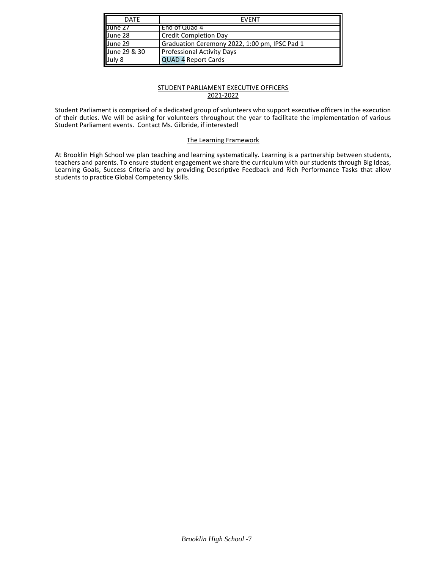| <b>DATF</b>  | <b>FVFNT</b>                                  |  |  |
|--------------|-----------------------------------------------|--|--|
| June 27      | End of Quad 4                                 |  |  |
| June 28      | <b>Credit Completion Day</b>                  |  |  |
| June 29      | Graduation Ceremony 2022, 1:00 pm, IPSC Pad 1 |  |  |
| June 29 & 30 | <b>Professional Activity Days</b>             |  |  |
| July 8       | <b>QUAD 4 Report Cards</b>                    |  |  |

# STUDENT PARLIAMENT EXECUTIVE OFFICERS 2021-2022

Student Parliament is comprised of a dedicated group of volunteers who support executive officers in the execution of their duties. We will be asking for volunteers throughout the year to facilitate the implementation of various Student Parliament events. Contact Ms. Gilbride, if interested!

# The Learning Framework

At Brooklin High School we plan teaching and learning systematically. Learning is a partnership between students, teachers and parents. To ensure student engagement we share the curriculum with our students through Big Ideas, Learning Goals, Success Criteria and by providing Descriptive Feedback and Rich Performance Tasks that allow students to practice Global Competency Skills.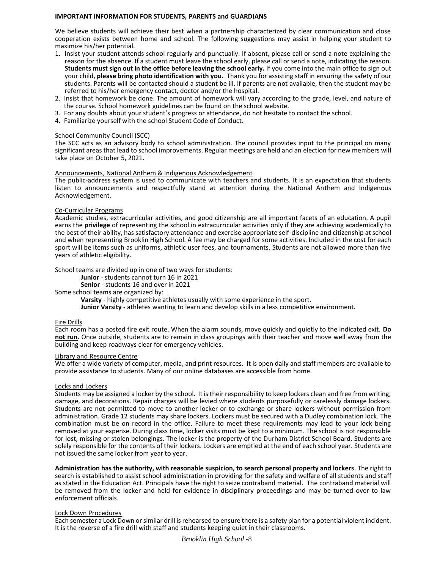#### **IMPORTANT INFORMATION FOR STUDENTS, PARENTS and GUARDIANS**

We believe students will achieve their best when a partnership characterized by clear communication and close cooperation exists between home and school. The following suggestions may assist in helping your student to maximize his/her potential.

- 1. Insist your student attends school regularly and punctually. If absent, please call or send a note explaining the reason for the absence. If a student must leave the school early, please call or send a note, indicating the reason. **Students must sign out in the office before leaving the school early.** If you come into the main office to sign out your child, **please bring photo identification with you.** Thank you for assisting staff in ensuring the safety of our students. Parents will be contacted should a student be ill. If parents are not available, then the student may be referred to his/her emergency contact, doctor and/or the hospital.
- 2. Insist that homework be done. The amount of homework will vary according to the grade, level, and nature of the course. School homework guidelines can be found on the school website.
- 3. For any doubts about your student's progress or attendance, do not hesitate to contact the school.
- 4. Familiarize yourself with the school Student Code of Conduct.

#### School Community Council (SCC)

The SCC acts as an advisory body to school administration. The council provides input to the principal on many significant areas that lead to school improvements. Regular meetings are held and an election for new members will take place on October 5, 2021.

#### Announcements, National Anthem & Indigenous Acknowledgement

The public-address system is used to communicate with teachers and students. It is an expectation that students listen to announcements and respectfully stand at attention during the National Anthem and Indigenous Acknowledgement.

#### Co-Curricular Programs

Academic studies, extracurricular activities, and good citizenship are all important facets of an education. A pupil earns the **privilege** of representing the school in extracurricular activities only if they are achieving academically to the best of their ability, has satisfactory attendance and exercise appropriate self-discipline and citizenship at school and when representing Brooklin High School. A fee may be charged for some activities. Included in the cost for each sport will be items such as uniforms, athletic user fees, and tournaments. Students are not allowed more than five years of athletic eligibility.

School teams are divided up in one of two ways for students:

**Junior** - students cannot turn 16 in 2021

**Senior** - students 16 and over in 2021

Some school teams are organized by:

**Varsity** - highly competitive athletes usually with some experience in the sport.

**Junior Varsity** - athletes wanting to learn and develop skills in a less competitive environment.

#### Fire Drills

Each room has a posted fire exit route. When the alarm sounds, move quickly and quietly to the indicated exit. **Do not run**. Once outside, students are to remain in class groupings with their teacher and move well away from the building and keep roadways clear for emergency vehicles.

#### Library and Resource Centre

We offer a wide variety of computer, media, and print resources. It is open daily and staff members are available to provide assistance to students. Many of our online databases are accessible from home.

#### $\overline{a}$ Locks and Lockers

Students may be assigned a locker by the school. It is their responsibility to keep lockers clean and free from writing, damage, and decorations. Repair charges will be levied where students purposefully or carelessly damage lockers. Students are not permitted to move to another locker or to exchange or share lockers without permission from administration. Grade 12 students may share lockers. Lockers must be secured with a Dudley combination lock. The combination must be on record in the office. Failure to meet these requirements may lead to your lock being removed at your expense. During class time, locker visits must be kept to a minimum. The school is not responsible for lost, missing or stolen belongings. The locker is the property of the Durham District School Board. Students are solely responsible for the contents of their lockers. Lockers are emptied at the end of each school year. Students are not issued the same locker from year to year.

**Administration has the authority, with reasonable suspicion, to search personal property and lockers**. The right to search is established to assist school administration in providing for the safety and welfare of all students and staff as stated in the Education Act. Principals have the right to seize contraband material. The contraband material will be removed from the locker and held for evidence in disciplinary proceedings and may be turned over to law enforcement officials.

#### Lock Down Procedures

Each semester a Lock Down or similar drill is rehearsed to ensure there is a safety plan for a potential violent incident. It is the reverse of a fire drill with staff and students keeping quiet in their classrooms.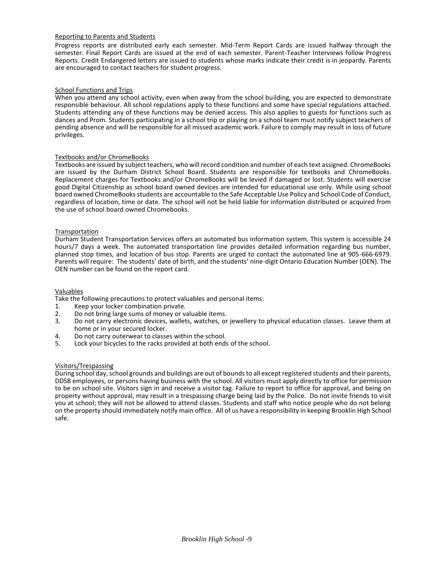#### Reporting to Parents and Students

Progress reports are distributed early each semester. Mid-Term Report Cards are issued halfway through the semester. Final Report Cards are issued at the end of each semester. Parent-Teacher Interviews follow Progress Reports. Credit Endangered letters are issued to students whose marks indicate their credit is in jeopardy. Parents are encouraged to contact teachers for student progress.

### **School Functions and Trips**

When you attend any school activity, even when away from the school building, you are expected to demonstrate responsible behaviour. All school regulations apply to these functions and some have special regulations attached. Students attending any of these functions may be denied access. This also applies to guests for functions such as dances and Prom. Students participating in a school trip or playing on a school team must notify subject teachers of pending absence and will be responsible for all missed academic work. Failure to comply may result in loss of future privileges.

### Textbooks and/or ChromeBooks

Textbooks are issued by subject teachers, who will record condition and number of each text assigned. ChromeBooks are issued by the Durham District School Board. Students are responsible for textbooks and ChromeBooks. Replacement charges for Textbooks and/or ChromeBooks will be levied if damaged or lost. Students will exercise good Digital Citizenship as school board owned devices are intended for educational use only. While using school board owned ChromeBooks students are accountable to the Safe Acceptable Use Policy and School Code of Conduct, regardless of location, time or date. The school will not be held liable for information distributed or acquired from the use of school board owned Chromebooks.

#### Transportation

Durham Student Transportation Services offers an automated bus information system. This system is accessible 24 hours/7 days a week. The automated transportation line provides detailed information regarding bus number, planned stop times, and location of bus stop. Parents are urged to contact the automated line at 905-666-6979. Parents will require: The students' date of birth, and the students' nine-digit Ontario Education Number (OEN). The OEN number can be found on the report card.

#### Valuables

Take the following precautions to protect valuables and personal items:

- 1. Keep your locker combination private.<br>2. Do not bring large sums of money or va
- 2. Do not bring large sums of money or valuable items.<br>3. Do not carry electronic devices, wallets, watches, or
- Do not carry electronic devices, wallets, watches, or jewellery to physical education classes. Leave them at home or in your secured locker.
- 4. Do not carry outerwear to classes within the school.<br>5. Lock your bicycles to the racks provided at both ends
- Lock your bicycles to the racks provided at both ends of the school.

#### Visitors/Trespassing

During school day, school grounds and buildings are out of bounds to all except registered students and their parents, DDSB employees, or persons having business with the school. All visitors must apply directly to office for permission to be on school site. Visitors sign in and receive a visitor tag. Failure to report to office for approval, and being on property without approval, may result in a trespassing charge being laid by the Police. Do not invite friends to visit you at school; they will not be allowed to attend classes. Students and staff who notice people who do not belong on the property should immediately notify main office. All of us have a responsibility in keeping Brooklin High School safe.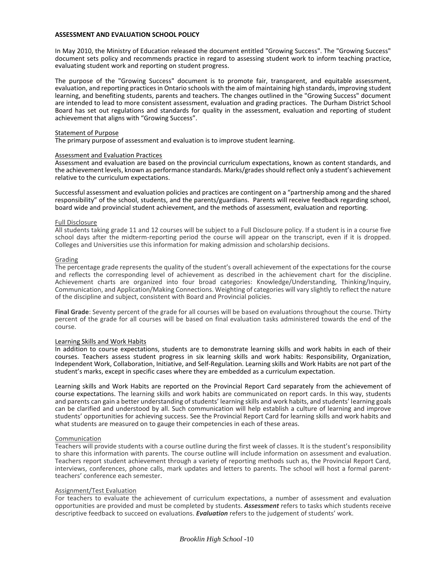#### **ASSESSMENT AND EVALUATION SCHOOL POLICY**

In May 2010, the Ministry of Education released the document entitled "Growing Success". The "Growing Success" document sets policy and recommends practice in regard to assessing student work to inform teaching practice, evaluating student work and reporting on student progress.

The purpose of the "Growing Success" document is to promote fair, transparent, and equitable assessment, evaluation, and reporting practices in Ontario schools with the aim of maintaining high standards, improving student learning, and benefiting students, parents and teachers. The changes outlined in the "Growing Success" document are intended to lead to more consistent assessment, evaluation and grading practices. The Durham District School Board has set out regulations and standards for quality in the assessment, evaluation and reporting of student achievement that aligns with "Growing Success"*.* 

#### Statement of Purpose

The primary purpose of assessment and evaluation is to improve student learning.

#### Assessment and Evaluation Practices

Assessment and evaluation are based on the provincial curriculum expectations, known as content standards, and the achievement levels, known as performance standards. Marks/grades should reflect only a student's achievement relative to the curriculum expectations.

Successful assessment and evaluation policies and practices are contingent on a "partnership among and the shared responsibility" of the school, students, and the parents/guardians. Parents will receive feedback regarding school, board wide and provincial student achievement, and the methods of assessment, evaluation and reporting.

#### Full Disclosure

All students taking grade 11 and 12 courses will be subject to a Full Disclosure policy. If a student is in a course five school days after the midterm-reporting period the course will appear on the transcript, even if it is dropped. Colleges and Universities use this information for making admission and scholarship decisions.

#### Grading

The percentage grade represents the quality of the student's overall achievement of the expectations for the course and reflects the corresponding level of achievement as described in the achievement chart for the discipline. Achievement charts are organized into four broad categories: Knowledge/Understanding, Thinking/Inquiry, Communication, and Application/Making Connections. Weighting of categories will vary slightly to reflect the nature of the discipline and subject, consistent with Board and Provincial policies.

**Final Grade**: Seventy percent of the grade for all courses will be based on evaluations throughout the course. Thirty percent of the grade for all courses will be based on final evaluation tasks administered towards the end of the course.

#### Learning Skills and Work Habits

In addition to course expectations, students are to demonstrate learning skills and work habits in each of their courses. Teachers assess student progress in six learning skills and work habits: Responsibility, Organization, Independent Work, Collaboration, Initiative, and Self-Regulation. Learning skills and Work Habits are not part of the student's marks, except in specific cases where they are embedded as a curriculum expectation.

Learning skills and Work Habits are reported on the Provincial Report Card separately from the achievement of course expectations. The learning skills and work habits are communicated on report cards. In this way, students and parents can gain a better understanding of students' learning skills and work habits, and students' learning goals can be clarified and understood by all. Such communication will help establish a culture of learning and improve students' opportunities for achieving success. See the Provincial Report Card for learning skills and work habits and what students are measured on to gauge their competencies in each of these areas.

#### Communication

Teachers will provide students with a course outline during the first week of classes. It is the student's responsibility to share this information with parents. The course outline will include information on assessment and evaluation. Teachers report student achievement through a variety of reporting methods such as, the Provincial Report Card, interviews, conferences, phone calls, mark updates and letters to parents. The school will host a formal parentteachers' conference each semester.

#### Assignment/Test Evaluation

For teachers to evaluate the achievement of curriculum expectations, a number of assessment and evaluation opportunities are provided and must be completed by students. *Assessment* refers to tasks which students receive descriptive feedback to succeed on evaluations. *Evaluation* refers to the judgement of students' work.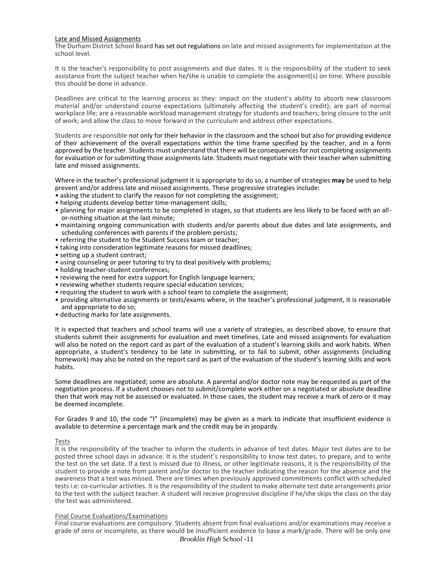#### Late and Missed Assignments

The Durham District School Board has set out regulations on late and missed assignments for implementation at the school level.

It is the teacher's responsibility to post assignments and due dates. It is the responsibility of the student to seek assistance from the subject teacher when he/she is unable to complete the assignment(s) on time. Where possible this should be done in advance.

Deadlines are critical to the learning process as they: impact on the student's ability to absorb new classroom material and/or understand course expectations (ultimately affecting the student's credit); are part of normal workplace life; are a reasonable workload management strategy for students and teachers; bring closure to the unit of work; and allow the class to move forward in the curriculum and address other expectations.

Students are responsible *not* only for their behavior in the classroom and the school but also for providing evidence of their achievement of the overall expectations within the time frame specified by the teacher, and in a form approved by the teacher. Students must understand that there will be consequences for not completing assignments for evaluation or for submitting those assignments late. Students must negotiate with their teacher when submitting late and missed assignments.

Where in the teacher's professional judgment it is appropriate to do so, a number of strategies **may** be used to help prevent and/or address late and missed assignments. These progressive strategies include:

- asking the student to clarify the reason for not completing the assignment;
- helping students develop better time-management skills;
- planning for major assignments to be completed in stages, so that students are less likely to be faced with an allor-nothing situation at the last minute;
- maintaining ongoing communication with students and/or parents about due dates and late assignments, and scheduling conferences with parents if the problem persists;
- referring the student to the Student Success team or teacher;
- taking into consideration legitimate reasons for missed deadlines;
- setting up a student contract;
- using counseling or peer tutoring to try to deal positively with problems;
- holding teacher-student conferences;
- reviewing the need for extra support for English language learners;
- reviewing whether students require special education services;
- requiring the student to work with a school team to complete the assignment;
- providing alternative assignments or tests/exams where, in the teacher's professional judgment, it is reasonable and appropriate to do so;
- deducting marks for late assignments.

It is expected that teachers and school teams will use a variety of strategies, as described above, to ensure that students submit their assignments for evaluation and meet timelines. Late and missed assignments for evaluation will also be noted on the report card as part of the evaluation of a student's learning skills and work habits. When appropriate, a student's tendency to be late in submitting, or to fail to submit, other assignments (including homework) may also be noted on the report card as part of the evaluation of the student's learning skills and work habits.

Some deadlines are negotiated; some are absolute. A parental and/or doctor note may be requested as part of the negotiation process. If a student chooses not to submit/complete work either on a negotiated or absolute deadline then that work may not be assessed or evaluated. In those cases, the student may receive a mark of zero or it may be deemed incomplete.

For Grades 9 and 10, the code "I" (incomplete) may be given as a mark to indicate that insufficient evidence is available to determine a percentage mark and the credit may be in jeopardy.

#### Tests

It is the responsibility of the teacher to inform the students in advance of test dates. Major test dates are to be posted three school days in advance. It is the student's responsibility to know test dates, to prepare, and to write the test on the set date. If a test is missed due to illness, or other legitimate reasons, it is the responsibility of the student to provide a note from parent and/or doctor to the teacher indicating the reason for the absence and the awareness that a test was missed. There are times when previously approved commitments conflict with scheduled tests i.e: co-curricular activities. It is the responsibility of the student to make alternate test date arrangements prior to the test with the subject teacher. A student will receive progressive discipline if he/she skips the class on the day the test was administered.

#### Final Course Evaluations/Examinations

Final course evaluations are compulsory. Students absent from final evaluations and/or examinations may receive a grade of zero or incomplete, as there would be insufficient evidence to base a mark/grade. There will be only one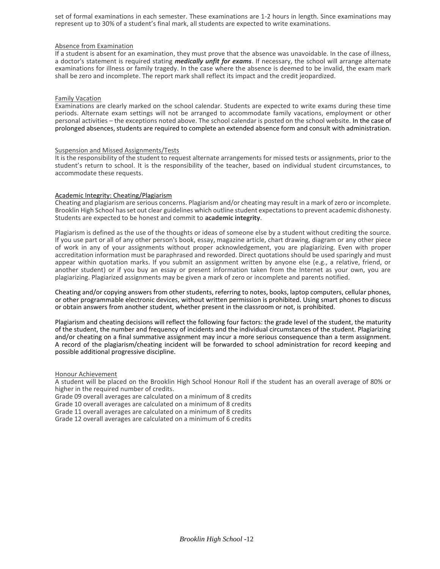set of formal examinations in each semester. These examinations are 1-2 hours in length. Since examinations may represent up to 30% of a student's final mark, all students are expected to write examinations.

#### Absence from Examination

If a student is absent for an examination, they must prove that the absence was unavoidable. In the case of illness, a doctor's statement is required stating *medically unfit for exams*. If necessary, the school will arrange alternate examinations for illness or family tragedy. In the case where the absence is deemed to be invalid, the exam mark shall be zero and incomplete. The report mark shall reflect its impact and the credit jeopardized.

#### Family Vacation

Examinations are clearly marked on the school calendar. Students are expected to write exams during these time periods. Alternate exam settings will not be arranged to accommodate family vacations, employment or other personal activities – the exceptions noted above. The school calendar is posted on the school website. In the case of prolonged absences, students are required to complete an extended absence form and consult with administration.

#### Suspension and Missed Assignments/Tests

It is the responsibility of the student to request alternate arrangements for missed tests or assignments, prior to the student's return to school. It is the responsibility of the teacher, based on individual student circumstances, to accommodate these requests.

#### Academic Integrity: Cheating/Plagiarism

Cheating and plagiarism are serious concerns. Plagiarism and/or cheating may result in a mark of zero or incomplete. Brooklin High School has set out clear guidelines which outline student expectations to prevent academic dishonesty. Students are expected to be honest and commit to **academic integrity**.

Plagiarism is defined as the use of the thoughts or ideas of someone else by a student without crediting the source. If you use part or all of any other person's book, essay, magazine article, chart drawing, diagram or any other piece of work in any of your assignments without proper acknowledgement, you are plagiarizing. Even with proper accreditation information must be paraphrased and reworded. Direct quotations should be used sparingly and must appear within quotation marks. If you submit an assignment written by anyone else (e.g., a relative, friend, or another student) or if you buy an essay or present information taken from the Internet as your own, you are plagiarizing. Plagiarized assignments may be given a mark of zero or incomplete and parents notified.

Cheating and/or copying answers from other students, referring to notes, books, laptop computers, cellular phones, or other programmable electronic devices, without written permission is prohibited. Using smart phones to discuss or obtain answers from another student, whether present in the classroom or not, is prohibited.

Plagiarism and cheating decisions will reflect the following four factors: the grade level of the student, the maturity of the student, the number and frequency of incidents and the individual circumstances of the student. Plagiarizing and/or cheating on a final summative assignment may incur a more serious consequence than a term assignment. A record of the plagiarism/cheating incident will be forwarded to school administration for record keeping and possible additional progressive discipline.

#### Honour Achievement

A student will be placed on the Brooklin High School Honour Roll if the student has an overall average of 80% or higher in the required number of credits.

Grade 09 overall averages are calculated on a minimum of 8 credits

Grade 10 overall averages are calculated on a minimum of 8 credits

Grade 11 overall averages are calculated on a minimum of 8 credits

Grade 12 overall averages are calculated on a minimum of 6 credits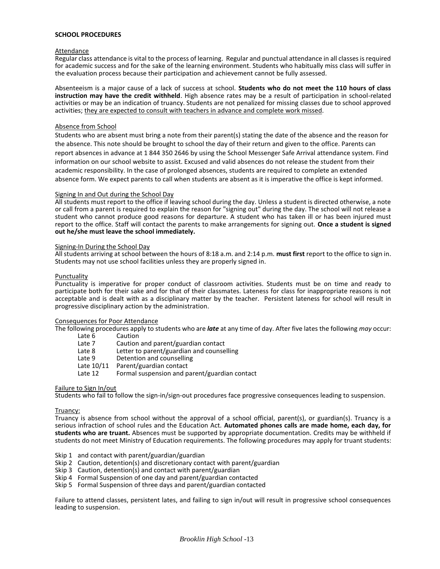#### **SCHOOL PROCEDURES**

#### Attendance

Regular class attendance is vital to the process of learning. Regular and punctual attendance in all classes is required for academic success and for the sake of the learning environment. Students who habitually miss class will suffer in the evaluation process because their participation and achievement cannot be fully assessed.

Absenteeism is a major cause of a lack of success at school. **Students who do not meet the 110 hours of class instruction may have the credit withheld**. High absence rates may be a result of participation in school-related activities or may be an indication of truancy. Students are not penalized for missing classes due to school approved activities; they are expected to consult with teachers in advance and complete work missed.

#### Absence from School

Students who are absent must bring a note from their parent(s) stating the date of the absence and the reason for the absence. This note should be brought to school the day of their return and given to the office. Parents can report absences in advance at 1 844 350 2646 by using the School Messenger Safe Arrival attendance system. Find information on our school website to assist. Excused and valid absences do not release the student from their academic responsibility. In the case of prolonged absences, students are required to complete an extended absence form. We expect parents to call when students are absent as it is imperative the office is kept informed.

#### Signing In and Out during the School Day

All students must report to the office if leaving school during the day. Unless a student is directed otherwise, a note or call from a parent is required to explain the reason for "signing out" during the day. The school will not release a student who cannot produce good reasons for departure. A student who has taken ill or has been injured must report to the office. Staff will contact the parents to make arrangements for signing out. **Once a student is signed out he/she must leave the school immediately.**

#### Signing-In During the School Day

All students arriving at school between the hours of 8:18 a.m. and 2:14 p.m. **must first** report to the office to sign in. Students may not use school facilities unless they are properly signed in.

#### Punctuality

Punctuality is imperative for proper conduct of classroom activities. Students must be on time and ready to participate both for their sake and for that of their classmates. Lateness for class for inappropriate reasons is not acceptable and is dealt with as a disciplinary matter by the teacher. Persistent lateness for school will result in progressive disciplinary action by the administration.

# Consequences for Poor Attendance

The following procedures apply to students who are *late* at any time of day. After five lates the following *may* occur:  $C_{\alpha}$ .  $\pm i \sqrt{2}$ 

| La LC U    | <b>Caucion</b>                                |
|------------|-----------------------------------------------|
| Late 7     | Caution and parent/guardian contact           |
| Late 8     | Letter to parent/guardian and counselling     |
| Late 9     | Detention and counselling                     |
| Late 10/11 | Parent/guardian contact                       |
| Late 12    | Formal suspension and parent/guardian contact |
|            |                                               |

#### Failure to Sign In/out

Students who fail to follow the sign-in/sign-out procedures face progressive consequences leading to suspension.

#### Truancy:

Truancy is absence from school without the approval of a school official, parent(s), or guardian(s). Truancy is a serious infraction of school rules and the Education Act. **Automated phones calls are made home, each day, for students who are truant.** Absences must be supported by appropriate documentation. Credits may be withheld if students do not meet Ministry of Education requirements. The following procedures may apply for truant students:

Skip 1 and contact with parent/guardian/guardian

- Skip 2 Caution, detention(s) and discretionary contact with parent/guardian
- Skip 3 Caution, detention(s) and contact with parent/guardian
- Skip 4 Formal Suspension of one day and parent/guardian contacted
- Skip 5 Formal Suspension of three days and parent/guardian contacted

Failure to attend classes, persistent lates, and failing to sign in/out will result in progressive school consequences leading to suspension.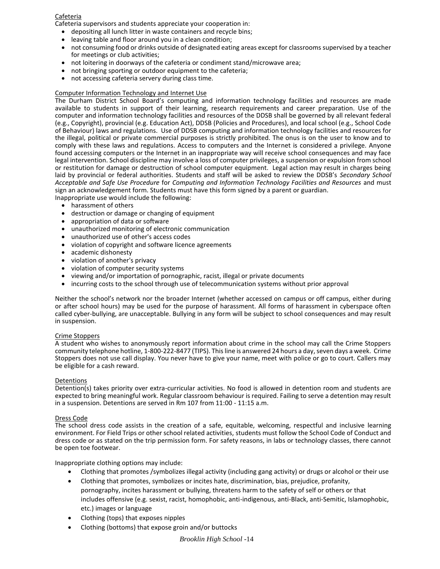#### Cafeteria

Cafeteria supervisors and students appreciate your cooperation in:

- depositing all lunch litter in waste containers and recycle bins;
- leaving table and floor around you in a clean condition;
- not consuming food or drinks outside of designated eating areas except for classrooms supervised by a teacher for meetings or club activities;
- not loitering in doorways of the cafeteria or condiment stand/microwave area;
- not bringing sporting or outdoor equipment to the cafeteria;
- not accessing cafeteria servery during class time.

### Computer Information Technology and Internet Use

The Durham District School Board's computing and information technology facilities and resources are made available to students in support of their learning, research requirements and career preparation. Use of the computer and information technology facilities and resources of the DDSB shall be governed by all relevant federal (e.g., Copyright), provincial (e.g. Education Act), DDSB (Policies and Procedures), and local school (e.g., School Code of Behaviour) laws and regulations. Use of DDSB computing and information technology facilities and resources for the illegal, political or private commercial purposes is strictly prohibited. The onus is on the user to know and to comply with these laws and regulations. Access to computers and the Internet is considered a privilege. Anyone found accessing computers or the Internet in an inappropriate way will receive school consequences and may face legal intervention. School discipline may involve a loss of computer privileges, a suspension or expulsion from school or restitution for damage or destruction of school computer equipment. Legal action may result in charges being laid by provincial or federal authorities. Students and staff will be asked to review the DDSB's *Secondary School Acceptable and Safe Use Procedure* for *Computing and Information Technology Facilities and Resources* and must sign an acknowledgement form. Students must have this form signed by a parent or guardian. Inappropriate use would include the following:

- harassment of others
- destruction or damage or changing of equipment
- appropriation of data or software
- unauthorized monitoring of electronic communication
- unauthorized use of other's access codes
- violation of copyright and software licence agreements
- academic dishonesty
- violation of another's privacy
- violation of computer security systems
- viewing and/or importation of pornographic, racist, illegal or private documents
- incurring costs to the school through use of telecommunication systems without prior approval

Neither the school's network nor the broader Internet (whether accessed on campus or off campus, either during or after school hours) may be used for the purpose of harassment. All forms of harassment in cyberspace often called cyber-bullying, are unacceptable. Bullying in any form will be subject to school consequences and may result in suspension.

#### Crime Stoppers

A student who wishes to anonymously report information about crime in the school may call the Crime Stoppers community telephone hotline, 1-800-222-8477 (TIPS). This line is answered 24 hours a day, seven days a week. Crime Stoppers does not use call display. You never have to give your name, meet with police or go to court. Callers may be eligible for a cash reward.

#### Detentions

Detention(s) takes priority over extra-curricular activities. No food is allowed in detention room and students are expected to bring meaningful work. Regular classroom behaviour is required. Failing to serve a detention may result in a suspension. Detentions are served in Rm 107 from 11:00 - 11:15 a.m.

#### Dress Code

The school dress code assists in the creation of a safe, equitable, welcoming, respectful and inclusive learning environment. For Field Trips or other school related activities, students must follow the School Code of Conduct and dress code or as stated on the trip permission form. For safety reasons, in labs or technology classes, there cannot be open toe footwear.

Inappropriate clothing options may include:

- Clothing that promotes /symbolizes illegal activity (including gang activity) or drugs or alcohol or their use
- Clothing that promotes, symbolizes or incites hate, discrimination, bias, prejudice, profanity, pornography, incites harassment or bullying, threatens harm to the safety of self or others or that includes offensive (e.g. sexist, racist, homophobic, anti-indigenous, anti-Black, anti-Semitic, Islamophobic, etc.) images or language
- Clothing (tops) that exposes nipples
- Clothing (bottoms) that expose groin and/or buttocks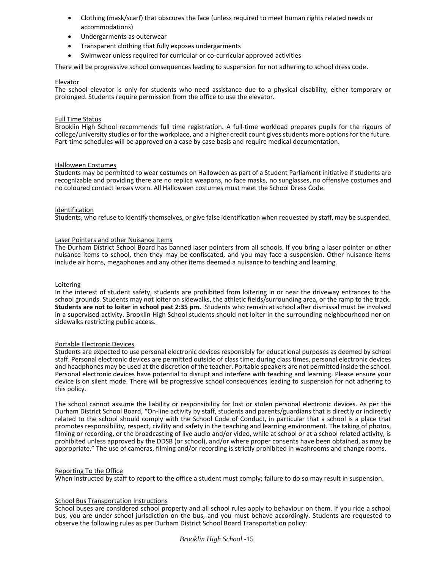- Clothing (mask/scarf) that obscures the face (unless required to meet human rights related needs or accommodations)
- Undergarments as outerwear
- Transparent clothing that fully exposes undergarments
- Swimwear unless required for curricular or co-curricular approved activities

There will be progressive school consequences leading to suspension for not adhering to school dress code.

#### Elevator

The school elevator is only for students who need assistance due to a physical disability, either temporary or prolonged. Students require permission from the office to use the elevator.

### Full Time Status

Brooklin High School recommends full time registration. A full-time workload prepares pupils for the rigours of college/university studies or for the workplace, and a higher credit count gives students more options for the future. Part-time schedules will be approved on a case by case basis and require medical documentation.

#### Halloween Costumes

Students may be permitted to wear costumes on Halloween as part of a Student Parliament initiative if students are recognizable and providing there are no replica weapons, no face masks, no sunglasses, no offensive costumes and no coloured contact lenses worn. All Halloween costumes must meet the School Dress Code.

#### Identification

Students, who refuse to identify themselves, or give false identification when requested by staff, may be suspended.

#### Laser Pointers and other Nuisance Items

The Durham District School Board has banned laser pointers from all schools. If you bring a laser pointer or other nuisance items to school, then they may be confiscated, and you may face a suspension. Other nuisance items include air horns, megaphones and any other items deemed a nuisance to teaching and learning.

#### Loitering

In the interest of student safety, students are prohibited from loitering in or near the driveway entrances to the school grounds. Students may not loiter on sidewalks, the athletic fields/surrounding area, or the ramp to the track. **Students are not to loiter in school past 2:35 pm.** Students who remain at school after dismissal must be involved in a supervised activity. Brooklin High School students should not loiter in the surrounding neighbourhood nor on sidewalks restricting public access.

#### Portable Electronic Devices

Students are expected to use personal electronic devices responsibly for educational purposes as deemed by school staff. Personal electronic devices are permitted outside of class time; during class times, personal electronic devices and headphones may be used at the discretion of the teacher. Portable speakers are not permitted inside the school. Personal electronic devices have potential to disrupt and interfere with teaching and learning. Please ensure your device is on silent mode. There will be progressive school consequences leading to suspension for not adhering to this policy.

The school cannot assume the liability or responsibility for lost or stolen personal electronic devices. As per the Durham District School Board, "On-line activity by staff, students and parents/guardians that is directly or indirectly related to the school should comply with the School Code of Conduct, in particular that a school is a place that promotes responsibility, respect, civility and safety in the teaching and learning environment. The taking of photos, filming or recording, or the broadcasting of live audio and/or video, while at school or at a school related activity, is prohibited unless approved by the DDSB (or school), and/or where proper consents have been obtained, as may be appropriate." The use of cameras, filming and/or recording is strictly prohibited in washrooms and change rooms.

#### Reporting To the Office

When instructed by staff to report to the office a student must comply; failure to do so may result in suspension.

#### **School Bus Transportation Instructions**

School buses are considered school property and all school rules apply to behaviour on them. If you ride a school bus, you are under school jurisdiction on the bus, and you must behave accordingly. Students are requested to observe the following rules as per Durham District School Board Transportation policy: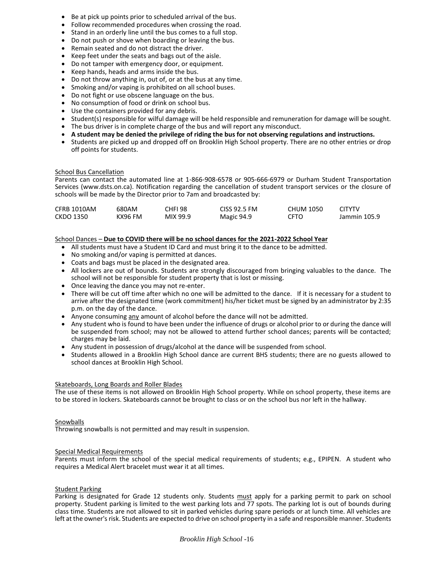- Be at pick up points prior to scheduled arrival of the bus.
- Follow recommended procedures when crossing the road.
- Stand in an orderly line until the bus comes to a full stop.
- Do not push or shove when boarding or leaving the bus.
- Remain seated and do not distract the driver.
- Keep feet under the seats and bags out of the aisle.
- Do not tamper with emergency door, or equipment.
- Keep hands, heads and arms inside the bus.
- Do not throw anything in, out of, or at the bus at any time.
- Smoking and/or vaping is prohibited on all school buses.
- Do not fight or use obscene language on the bus.
- No consumption of food or drink on school bus.
- Use the containers provided for any debris.
- Student(s) responsible for wilful damage will be held responsible and remuneration for damage will be sought.
- The bus driver is in complete charge of the bus and will report any misconduct.
- **A student may be denied the privilege of riding the bus for not observing regulations and instructions.**
- Students are picked up and dropped off on Brooklin High School property. There are no other entries or drop off points for students.

#### School Bus Cancellation

Parents can contact the automated line at 1-866-908-6578 or 905-666-6979 or Durham Student Transportation Services (www.dsts.on.ca). Notification regarding the cancellation of student transport services or the closure of schools will be made by the Director prior to 7am and broadcasted by:

| CFRB 1010AM | 680AM   | CHFI 98  | CISS 92.5 FM | CHUM 1050 | <b>CITYTV</b> |
|-------------|---------|----------|--------------|-----------|---------------|
| CKDO 1350   | KX96 FM | MIX 99.9 | Magic 94.9   | CFTO      | Jammin 105.9  |

#### School Dances – **Due to COVID there will be no school dances for the 2021-2022 School Year**

- All students must have a Student ID Card and must bring it to the dance to be admitted.
- No smoking and/or vaping is permitted at dances.
- Coats and bags must be placed in the designated area.
- All lockers are out of bounds. Students are strongly discouraged from bringing valuables to the dance. The school will not be responsible for student property that is lost or missing.
- Once leaving the dance you may not re-enter.
- There will be cut off time after which no one will be admitted to the dance. If it is necessary for a student to arrive after the designated time (work commitment) his/her ticket must be signed by an administrator by 2:35 p.m. on the day of the dance.
- Anyone consuming any amount of alcohol before the dance will not be admitted.
- Any student who is found to have been under the influence of drugs or alcohol prior to or during the dance will be suspended from school; may not be allowed to attend further school dances; parents will be contacted; charges may be laid.
- Any student in possession of drugs/alcohol at the dance will be suspended from school.
- Students allowed in a Brooklin High School dance are current BHS students; there are no guests allowed to school dances at Brooklin High School.

#### Skateboards, Long Boards and Roller Blades

The use of these items is not allowed on Brooklin High School property. While on school property, these items are to be stored in lockers. Skateboards cannot be brought to class or on the school bus nor left in the hallway.

#### **Snowballs**

Throwing snowballs is not permitted and may result in suspension.

#### Special Medical Requirements

Parents must inform the school of the special medical requirements of students; e.g., EPIPEN. A student who requires a Medical Alert bracelet must wear it at all times.

#### Student Parking

Parking is designated for Grade 12 students only. Students must apply for a parking permit to park on school property. Student parking is limited to the west parking lots and 77 spots. The parking lot is out of bounds during class time. Students are not allowed to sit in parked vehicles during spare periods or at lunch time. All vehicles are left at the owner's risk. Students are expected to drive on school property in a safe and responsible manner. Students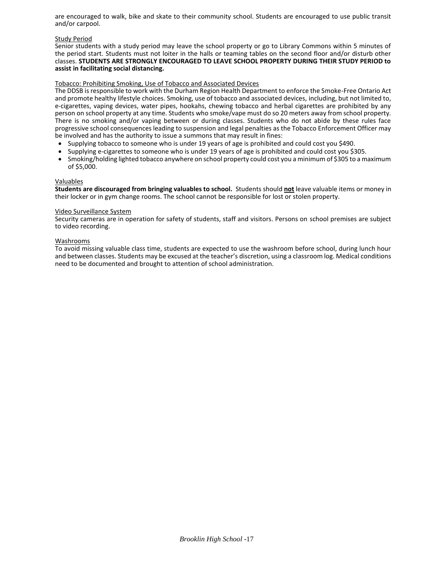are encouraged to walk, bike and skate to their community school. Students are encouraged to use public transit and/or carpool.

#### Study Period

Senior students with a study period may leave the school property or go to Library Commons within 5 minutes of the period start. Students must not loiter in the halls or teaming tables on the second floor and/or disturb other classes. **STUDENTS ARE STRONGLY ENCOURAGED TO LEAVE SCHOOL PROPERTY DURING THEIR STUDY PERIOD to assist in facilitating social distancing.**

### Tobacco: Prohibiting Smoking, Use of Tobacco and Associated Devices

The DDSB is responsible to work with the Durham Region Health Department to enforce the Smoke-Free Ontario Act and promote healthy lifestyle choices. Smoking, use of tobacco and associated devices, including, but not limited to, e-cigarettes, vaping devices, water pipes, hookahs, chewing tobacco and herbal cigarettes are prohibited by any person on school property at any time. Students who smoke/vape must do so 20 meters away from school property. There is no smoking and/or vaping between or during classes. Students who do not abide by these rules face progressive school consequences leading to suspension and legal penalties as the Tobacco Enforcement Officer may be involved and has the authority to issue a summons that may result in fines:

- Supplying tobacco to someone who is under 19 years of age is prohibited and could cost you \$490.
- Supplying e-cigarettes to someone who is under 19 years of age is prohibited and could cost you \$305.
- Smoking/holding lighted tobacco anywhere on school property could cost you a minimum of \$305 to a maximum of \$5,000.

#### Valuables

**Students are discouraged from bringing valuables to school.** Students should **not** leave valuable items or money in their locker or in gym change rooms. The school cannot be responsible for lost or stolen property.

#### Video Surveillance System

Security cameras are in operation for safety of students, staff and visitors. Persons on school premises are subject to video recording.

#### Washrooms

To avoid missing valuable class time, students are expected to use the washroom before school, during lunch hour and between classes. Students may be excused at the teacher's discretion, using a classroom log. Medical conditions need to be documented and brought to attention of school administration.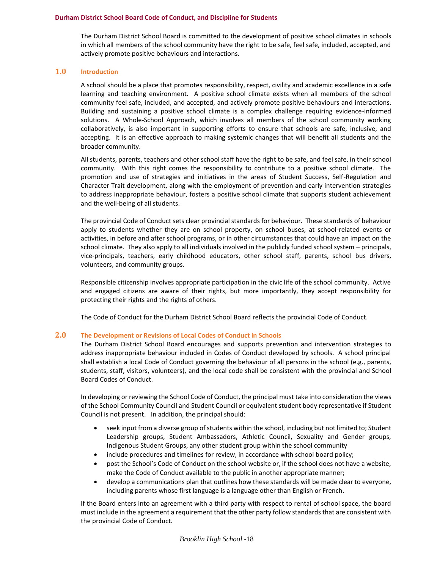#### **Durham District School Board Code of Conduct, and Discipline for Students**

The Durham District School Board is committed to the development of positive school climates in schools in which all members of the school community have the right to be safe, feel safe, included, accepted, and actively promote positive behaviours and interactions.

### **1.0 Introduction**

A school should be a place that promotes responsibility, respect, civility and academic excellence in a safe learning and teaching environment. A positive school climate exists when all members of the school community feel safe, included, and accepted, and actively promote positive behaviours and interactions. Building and sustaining a positive school climate is a complex challenge requiring evidence-informed solutions. A Whole-School Approach, which involves all members of the school community working collaboratively, is also important in supporting efforts to ensure that schools are safe, inclusive, and accepting. It is an effective approach to making systemic changes that will benefit all students and the broader community.

All students, parents, teachers and other school staff have the right to be safe, and feel safe, in their school community. With this right comes the responsibility to contribute to a positive school climate. The promotion and use of strategies and initiatives in the areas of Student Success, Self-Regulation and Character Trait development, along with the employment of prevention and early intervention strategies to address inappropriate behaviour, fosters a positive school climate that supports student achievement and the well-being of all students.

The provincial Code of Conduct sets clear provincial standards for behaviour. These standards of behaviour apply to students whether they are on school property, on school buses, at school-related events or activities, in before and after school programs, or in other circumstances that could have an impact on the school climate. They also apply to all individuals involved in the publicly funded school system – principals, vice-principals, teachers, early childhood educators, other school staff, parents, school bus drivers, volunteers, and community groups.

Responsible citizenship involves appropriate participation in the civic life of the school community. Active and engaged citizens are aware of their rights, but more importantly, they accept responsibility for protecting their rights and the rights of others.

The Code of Conduct for the Durham District School Board reflects the provincial Code of Conduct.

#### **2.0 The Development or Revisions of Local Codes of Conduct in Schools**

The Durham District School Board encourages and supports prevention and intervention strategies to address inappropriate behaviour included in Codes of Conduct developed by schools. A school principal shall establish a local Code of Conduct governing the behaviour of all persons in the school (e.g., parents, students, staff, visitors, volunteers), and the local code shall be consistent with the provincial and School Board Codes of Conduct.

In developing or reviewing the School Code of Conduct, the principal must take into consideration the views of the School Community Council and Student Council or equivalent student body representative if Student Council is not present. In addition, the principal should:

- seek input from a diverse group of students within the school, including but not limited to; Student Leadership groups, Student Ambassadors, Athletic Council, Sexuality and Gender groups, Indigenous Student Groups, any other student group within the school community
- include procedures and timelines for review, in accordance with school board policy;
- post the School's Code of Conduct on the school website or, if the school does not have a website, make the Code of Conduct available to the public in another appropriate manner;
- develop a communications plan that outlines how these standards will be made clear to everyone, including parents whose first language is a language other than English or French.

If the Board enters into an agreement with a third party with respect to rental of school space, the board must include in the agreement a requirement that the other party follow standards that are consistent with the provincial Code of Conduct.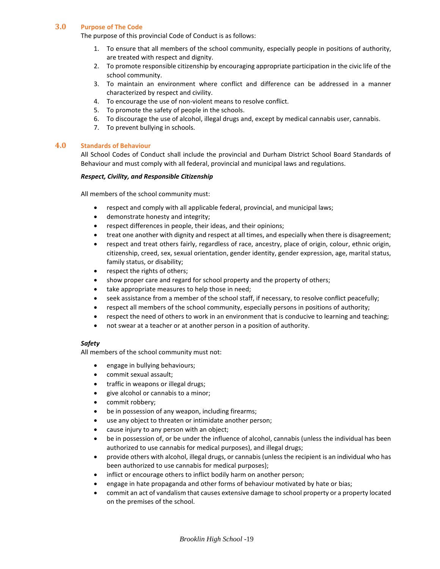# **3.0 Purpose of The Code**

The purpose of this provincial Code of Conduct is as follows:

- 1. To ensure that all members of the school community, especially people in positions of authority, are treated with respect and dignity.
- 2. To promote responsible citizenship by encouraging appropriate participation in the civic life of the school community.
- 3. To maintain an environment where conflict and difference can be addressed in a manner characterized by respect and civility.
- 4. To encourage the use of non-violent means to resolve conflict.
- 5. To promote the safety of people in the schools.
- 6. To discourage the use of alcohol, illegal drugs and, except by medical cannabis user, cannabis.
- 7. To prevent bullying in schools.

#### **4.0 Standards of Behaviour**

All School Codes of Conduct shall include the provincial and Durham District School Board Standards of Behaviour and must comply with all federal, provincial and municipal laws and regulations.

#### *Respect, Civility, and Responsible Citizenship*

All members of the school community must:

- respect and comply with all applicable federal, provincial, and municipal laws;
- demonstrate honesty and integrity;
- respect differences in people, their ideas, and their opinions;
- treat one another with dignity and respect at all times, and especially when there is disagreement;
- respect and treat others fairly, regardless of race, ancestry, place of origin, colour, ethnic origin, citizenship, creed, sex, sexual orientation, gender identity, gender expression, age, marital status, family status, or disability;
- respect the rights of others;
- show proper care and regard for school property and the property of others;
- take appropriate measures to help those in need;
- seek assistance from a member of the school staff, if necessary, to resolve conflict peacefully;
- respect all members of the school community, especially persons in positions of authority;
- respect the need of others to work in an environment that is conducive to learning and teaching;
- not swear at a teacher or at another person in a position of authority.

# *Safety*

All members of the school community must not:

- engage in bullying behaviours;
- commit sexual assault;
- traffic in weapons or illegal drugs;
- give alcohol or cannabis to a minor;
- commit robbery;
- be in possession of any weapon, including firearms;
- use any object to threaten or intimidate another person;
- cause injury to any person with an object;
- be in possession of, or be under the influence of alcohol, cannabis (unless the individual has been authorized to use cannabis for medical purposes), and illegal drugs;
- provide others with alcohol, illegal drugs, or cannabis (unless the recipient is an individual who has been authorized to use cannabis for medical purposes);
- inflict or encourage others to inflict bodily harm on another person;
- engage in hate propaganda and other forms of behaviour motivated by hate or bias;
- commit an act of vandalism that causes extensive damage to school property or a property located on the premises of the school.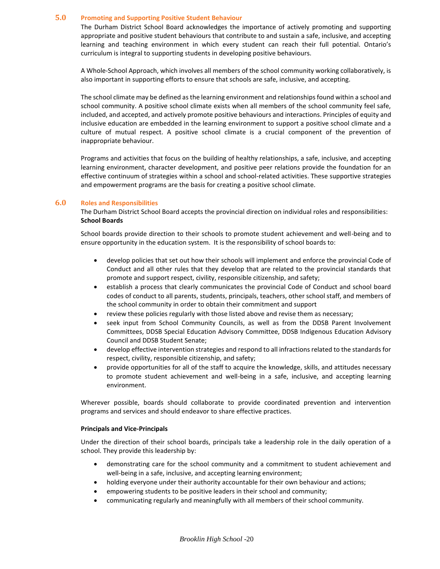### **5.0 Promoting and Supporting Positive Student Behaviour**

The Durham District School Board acknowledges the importance of actively promoting and supporting appropriate and positive student behaviours that contribute to and sustain a safe, inclusive, and accepting learning and teaching environment in which every student can reach their full potential. Ontario's curriculum is integral to supporting students in developing positive behaviours.

A Whole-School Approach, which involves all members of the school community working collaboratively, is also important in supporting efforts to ensure that schools are safe, inclusive, and accepting.

The school climate may be defined as the learning environment and relationships found within a school and school community. A positive school climate exists when all members of the school community feel safe, included, and accepted, and actively promote positive behaviours and interactions. Principles of equity and inclusive education are embedded in the learning environment to support a positive school climate and a culture of mutual respect. A positive school climate is a crucial component of the prevention of inappropriate behaviour.

Programs and activities that focus on the building of healthy relationships, a safe, inclusive, and accepting learning environment, character development, and positive peer relations provide the foundation for an effective continuum of strategies within a school and school-related activities. These supportive strategies and empowerment programs are the basis for creating a positive school climate.

### **6.0 Roles and Responsibilities**

The Durham District School Board accepts the provincial direction on individual roles and responsibilities: **School Boards** 

School boards provide direction to their schools to promote student achievement and well-being and to ensure opportunity in the education system. It is the responsibility of school boards to:

- develop policies that set out how their schools will implement and enforce the provincial Code of Conduct and all other rules that they develop that are related to the provincial standards that promote and support respect, civility, responsible citizenship, and safety;
- establish a process that clearly communicates the provincial Code of Conduct and school board codes of conduct to all parents, students, principals, teachers, other school staff, and members of the school community in order to obtain their commitment and support
- review these policies regularly with those listed above and revise them as necessary;
- seek input from School Community Councils, as well as from the DDSB Parent Involvement Committees, DDSB Special Education Advisory Committee, DDSB Indigenous Education Advisory Council and DDSB Student Senate;
- develop effective intervention strategies and respond to all infractions related to the standards for respect, civility, responsible citizenship, and safety;
- provide opportunities for all of the staff to acquire the knowledge, skills, and attitudes necessary to promote student achievement and well-being in a safe, inclusive, and accepting learning environment.

Wherever possible, boards should collaborate to provide coordinated prevention and intervention programs and services and should endeavor to share effective practices.

#### **Principals and Vice-Principals**

Under the direction of their school boards, principals take a leadership role in the daily operation of a school. They provide this leadership by:

- demonstrating care for the school community and a commitment to student achievement and well-being in a safe, inclusive, and accepting learning environment;
- holding everyone under their authority accountable for their own behaviour and actions;
- empowering students to be positive leaders in their school and community;
- communicating regularly and meaningfully with all members of their school community.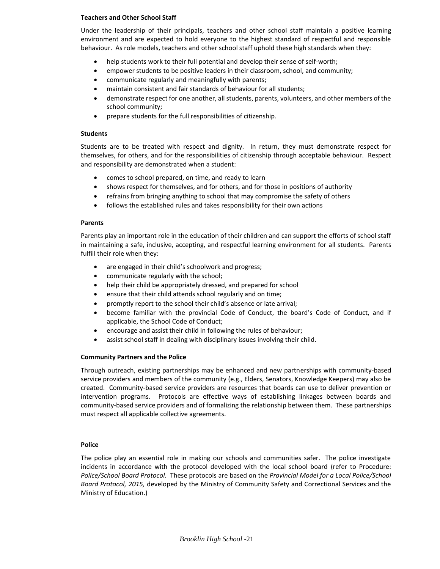#### **Teachers and Other School Staff**

Under the leadership of their principals, teachers and other school staff maintain a positive learning environment and are expected to hold everyone to the highest standard of respectful and responsible behaviour. As role models, teachers and other school staff uphold these high standards when they:

- help students work to their full potential and develop their sense of self-worth;
- empower students to be positive leaders in their classroom, school, and community;
- communicate regularly and meaningfully with parents;
- maintain consistent and fair standards of behaviour for all students;
- demonstrate respect for one another, all students, parents, volunteers, and other members of the school community;
- prepare students for the full responsibilities of citizenship.

#### **Students**

Students are to be treated with respect and dignity. In return, they must demonstrate respect for themselves, for others, and for the responsibilities of citizenship through acceptable behaviour. Respect and responsibility are demonstrated when a student:

- comes to school prepared, on time, and ready to learn
- shows respect for themselves, and for others, and for those in positions of authority
- refrains from bringing anything to school that may compromise the safety of others
- follows the established rules and takes responsibility for their own actions

#### **Parents**

Parents play an important role in the education of their children and can support the efforts of school staff in maintaining a safe, inclusive, accepting, and respectful learning environment for all students. Parents fulfill their role when they:

- are engaged in their child's schoolwork and progress;
- communicate regularly with the school;
- help their child be appropriately dressed, and prepared for school
- ensure that their child attends school regularly and on time;
- promptly report to the school their child's absence or late arrival;
- become familiar with the provincial Code of Conduct, the board's Code of Conduct, and if applicable, the School Code of Conduct;
- encourage and assist their child in following the rules of behaviour;
- assist school staff in dealing with disciplinary issues involving their child.

#### **Community Partners and the Police**

Through outreach, existing partnerships may be enhanced and new partnerships with community-based service providers and members of the community (e.g., Elders, Senators, Knowledge Keepers) may also be created. Community-based service providers are resources that boards can use to deliver prevention or intervention programs. Protocols are effective ways of establishing linkages between boards and community-based service providers and of formalizing the relationship between them. These partnerships must respect all applicable collective agreements.

#### **Police**

The police play an essential role in making our schools and communities safer. The police investigate incidents in accordance with the protocol developed with the local school board (refer to Procedure: *Police/School Board Protocol.* These protocols are based on the *Provincial Model for a Local Police/School Board Protocol, 2015,* developed by the Ministry of Community Safety and Correctional Services and the Ministry of Education.)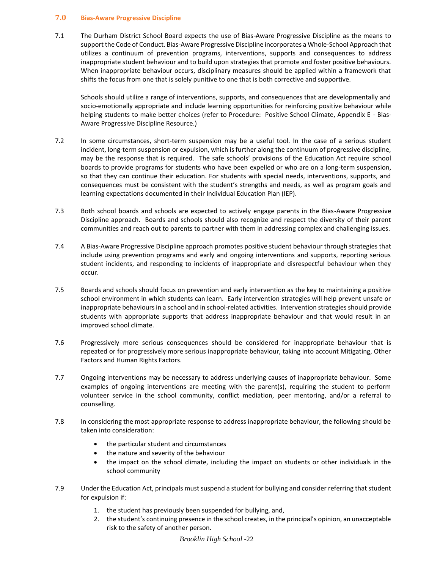# **7.0 Bias-Aware Progressive Discipline**

7.1 The Durham District School Board expects the use of Bias-Aware Progressive Discipline as the means to support the Code of Conduct. Bias-Aware Progressive Discipline incorporates a Whole-School Approach that utilizes a continuum of prevention programs, interventions, supports and consequences to address inappropriate student behaviour and to build upon strategies that promote and foster positive behaviours. When inappropriate behaviour occurs, disciplinary measures should be applied within a framework that shifts the focus from one that is solely punitive to one that is both corrective and supportive.

Schools should utilize a range of interventions, supports, and consequences that are developmentally and socio-emotionally appropriate and include learning opportunities for reinforcing positive behaviour while helping students to make better choices (refer to Procedure: Positive School Climate, Appendix E - Bias-Aware Progressive Discipline Resource.)

- 7.2 In some circumstances, short-term suspension may be a useful tool. In the case of a serious student incident, long-term suspension or expulsion, which is further along the continuum of progressive discipline, may be the response that is required. The safe schools' provisions of the Education Act require school boards to provide programs for students who have been expelled or who are on a long-term suspension, so that they can continue their education. For students with special needs, interventions, supports, and consequences must be consistent with the student's strengths and needs, as well as program goals and learning expectations documented in their Individual Education Plan (IEP).
- 7.3 Both school boards and schools are expected to actively engage parents in the Bias-Aware Progressive Discipline approach. Boards and schools should also recognize and respect the diversity of their parent communities and reach out to parents to partner with them in addressing complex and challenging issues.
- 7.4 A Bias-Aware Progressive Discipline approach promotes positive student behaviour through strategies that include using prevention programs and early and ongoing interventions and supports, reporting serious student incidents, and responding to incidents of inappropriate and disrespectful behaviour when they occur.
- 7.5 Boards and schools should focus on prevention and early intervention as the key to maintaining a positive school environment in which students can learn. Early intervention strategies will help prevent unsafe or inappropriate behaviours in a school and in school-related activities. Intervention strategies should provide students with appropriate supports that address inappropriate behaviour and that would result in an improved school climate.
- 7.6 Progressively more serious consequences should be considered for inappropriate behaviour that is repeated or for progressively more serious inappropriate behaviour, taking into account Mitigating, Other Factors and Human Rights Factors.
- 7.7 Ongoing interventions may be necessary to address underlying causes of inappropriate behaviour. Some examples of ongoing interventions are meeting with the parent(s), requiring the student to perform volunteer service in the school community, conflict mediation, peer mentoring, and/or a referral to counselling.
- 7.8 In considering the most appropriate response to address inappropriate behaviour, the following should be taken into consideration:
	- the particular student and circumstances
	- the nature and severity of the behaviour
	- the impact on the school climate, including the impact on students or other individuals in the school community
- 7.9 Under the Education Act, principals must suspend a student for bullying and consider referring that student for expulsion if:
	- 1. the student has previously been suspended for bullying, and,
	- 2. the student's continuing presence in the school creates, in the principal's opinion, an unacceptable risk to the safety of another person.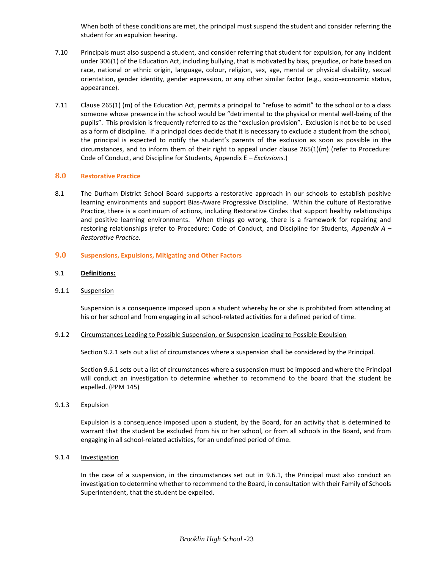When both of these conditions are met, the principal must suspend the student and consider referring the student for an expulsion hearing.

- 7.10 Principals must also suspend a student, and consider referring that student for expulsion, for any incident under 306(1) of the Education Act, including bullying, that is motivated by bias, prejudice, or hate based on race, national or ethnic origin, language, colour, religion, sex, age, mental or physical disability, sexual orientation, gender identity, gender expression, or any other similar factor (e.g., socio-economic status, appearance).
- 7.11 Clause 265(1) (m) of the Education Act, permits a principal to "refuse to admit" to the school or to a class someone whose presence in the school would be "detrimental to the physical or mental well-being of the pupils". This provision is frequently referred to as the "exclusion provision". Exclusion is not be to be used as a form of discipline. If a principal does decide that it is necessary to exclude a student from the school, the principal is expected to notify the student's parents of the exclusion as soon as possible in the circumstances, and to inform them of their right to appeal under clause 265(1)(m) (refer to Procedure: Code of Conduct, and Discipline for Students, Appendix E – *Exclusions.*)

### **8.0 Restorative Practice**

8.1 The Durham District School Board supports a restorative approach in our schools to establish positive learning environments and support Bias-Aware Progressive Discipline. Within the culture of Restorative Practice, there is a continuum of actions, including Restorative Circles that support healthy relationships and positive learning environments. When things go wrong, there is a framework for repairing and restoring relationships (refer to Procedure: Code of Conduct, and Discipline for Students, *Appendix A – Restorative Practice.*

### **9.0 Suspensions, Expulsions, Mitigating and Other Factors**

#### 9.1 **Definitions:**

#### 9.1.1 Suspension

Suspension is a consequence imposed upon a student whereby he or she is prohibited from attending at his or her school and from engaging in all school-related activities for a defined period of time.

#### 9.1.2 Circumstances Leading to Possible Suspension, or Suspension Leading to Possible Expulsion

Section 9.2.1 sets out a list of circumstances where a suspension shall be considered by the Principal.

Section 9.6.1 sets out a list of circumstances where a suspension must be imposed and where the Principal will conduct an investigation to determine whether to recommend to the board that the student be expelled. (PPM 145)

9.1.3 Expulsion

Expulsion is a consequence imposed upon a student, by the Board, for an activity that is determined to warrant that the student be excluded from his or her school, or from all schools in the Board, and from engaging in all school-related activities, for an undefined period of time.

9.1.4 Investigation

In the case of a suspension, in the circumstances set out in 9.6.1, the Principal must also conduct an investigation to determine whether to recommend to the Board, in consultation with their Family of Schools Superintendent, that the student be expelled.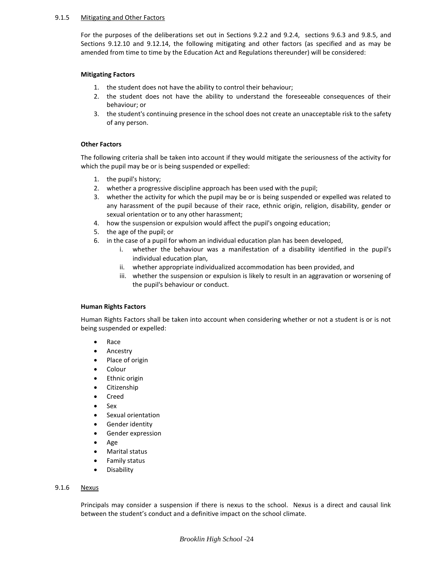#### 9.1.5 Mitigating and Other Factors

For the purposes of the deliberations set out in Sections 9.2.2 and 9.2.4, sections 9.6.3 and 9.8.5, and Sections 9.12.10 and 9.12.14, the following mitigating and other factors (as specified and as may be amended from time to time by the Education Act and Regulations thereunder) will be considered:

# **Mitigating Factors**

- 1. the student does not have the ability to control their behaviour;
- 2. the student does not have the ability to understand the foreseeable consequences of their behaviour; or
- 3. the student's continuing presence in the school does not create an unacceptable risk to the safety of any person.

# **Other Factors**

The following criteria shall be taken into account if they would mitigate the seriousness of the activity for which the pupil may be or is being suspended or expelled:

- 1. the pupil's history;
- 2. whether a progressive discipline approach has been used with the pupil;
- 3. whether the activity for which the pupil may be or is being suspended or expelled was related to any harassment of the pupil because of their race, ethnic origin, religion, disability, gender or sexual orientation or to any other harassment;
- 4. how the suspension or expulsion would affect the pupil's ongoing education;
- 5. the age of the pupil; or
- 6. in the case of a pupil for whom an individual education plan has been developed,
	- i. whether the behaviour was a manifestation of a disability identified in the pupil's individual education plan,
	- ii. whether appropriate individualized accommodation has been provided, and
	- iii. whether the suspension or expulsion is likely to result in an aggravation or worsening of the pupil's behaviour or conduct.

# **Human Rights Factors**

Human Rights Factors shall be taken into account when considering whether or not a student is or is not being suspended or expelled:

- Race
- Ancestry
- Place of origin
- Colour
- Ethnic origin
- Citizenship
- Creed
- Sex
- Sexual orientation
- Gender identity
- Gender expression
- Age
- Marital status
- Family status
- Disability

# 9.1.6 Nexus

Principals may consider a suspension if there is nexus to the school. Nexus is a direct and causal link between the student's conduct and a definitive impact on the school climate.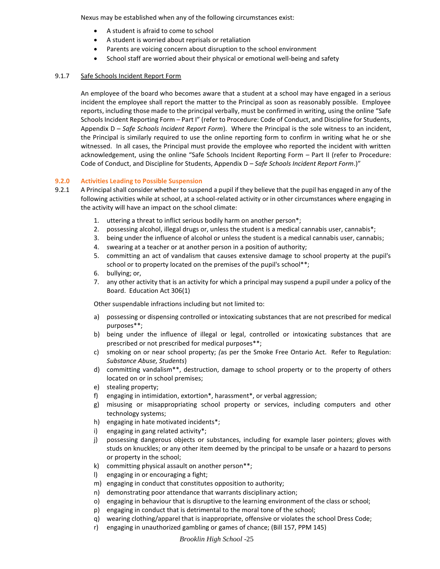Nexus may be established when any of the following circumstances exist:

- A student is afraid to come to school
- A student is worried about reprisals or retaliation
- Parents are voicing concern about disruption to the school environment
- School staff are worried about their physical or emotional well-being and safety

# 9.1.7 Safe Schools Incident Report Form

An employee of the board who becomes aware that a student at a school may have engaged in a serious incident the employee shall report the matter to the Principal as soon as reasonably possible. Employee reports, including those made to the principal verbally, must be confirmed in writing, using the online "Safe Schools Incident Reporting Form – Part I" (refer to Procedure: Code of Conduct, and Discipline for Students, Appendix D – *Safe Schools Incident Report Form*). Where the Principal is the sole witness to an incident, the Principal is similarly required to use the online reporting form to confirm in writing what he or she witnessed. In all cases, the Principal must provide the employee who reported the incident with written acknowledgement, using the online "Safe Schools Incident Reporting Form – Part II (refer to Procedure: Code of Conduct, and Discipline for Students, Appendix D – *Safe Schools Incident Report Form*.)"

### **9.2.0 Activities Leading to Possible Suspension**

- 9.2.1 A Principal shall consider whether to suspend a pupil if they believe that the pupil has engaged in any of the following activities while at school, at a school-related activity or in other circumstances where engaging in the activity will have an impact on the school climate:
	- 1. uttering a threat to inflict serious bodily harm on another person\*;
	- 2. possessing alcohol, illegal drugs or, unless the student is a medical cannabis user, cannabis\*;
	- 3. being under the influence of alcohol or unless the student is a medical cannabis user, cannabis;
	- 4. swearing at a teacher or at another person in a position of authority;
	- 5. committing an act of vandalism that causes extensive damage to school property at the pupil's school or to property located on the premises of the pupil's school\*\*;
	- 6. bullying; or,
	- 7. any other activity that is an activity for which a principal may suspend a pupil under a policy of the Board. Education Act 306(1)

Other suspendable infractions including but not limited to:

- a) possessing or dispensing controlled or intoxicating substances that are not prescribed for medical purposes\*\*;
- b) being under the influence of illegal or legal, controlled or intoxicating substances that are prescribed or not prescribed for medical purposes\*\*;
- c) smoking on or near school property; *(*as per the Smoke Free Ontario Act. Refer to Regulation: *Substance Abuse, Students*)
- d) committing vandalism\*\*, destruction, damage to school property or to the property of others located on or in school premises;
- e) stealing property;
- f) engaging in intimidation, extortion\*, harassment\*, or verbal aggression;
- g) misusing or misappropriating school property or services, including computers and other technology systems;
- h) engaging in hate motivated incidents\*;
- i) engaging in gang related activity\*;
- j) possessing dangerous objects or substances, including for example laser pointers; gloves with studs on knuckles; or any other item deemed by the principal to be unsafe or a hazard to persons or property in the school;
- k) committing physical assault on another person\*\*;
- l) engaging in or encouraging a fight;
- m) engaging in conduct that constitutes opposition to authority;
- n) demonstrating poor attendance that warrants disciplinary action;
- o) engaging in behaviour that is disruptive to the learning environment of the class or school;
- p) engaging in conduct that is detrimental to the moral tone of the school;
- q) wearing clothing/apparel that is inappropriate, offensive or violates the school Dress Code;
- r) engaging in unauthorized gambling or games of chance; (Bill 157, PPM 145)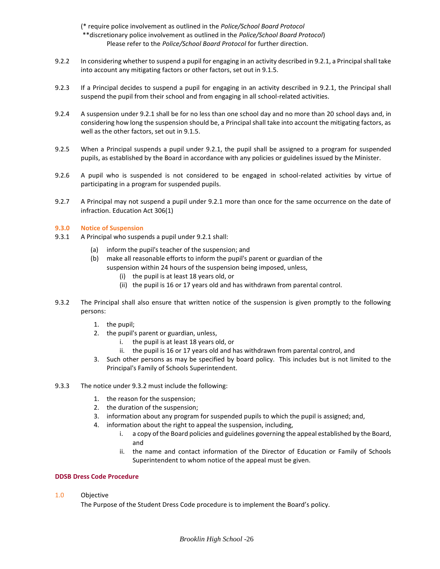(\* require police involvement as outlined in the *Police/School Board Protocol* \*\*discretionary police involvement as outlined in the *Police/School Board Protocol*) Please refer to the *Police/School Board Protocol* for further direction.

- 9.2.2 In considering whether to suspend a pupil for engaging in an activity described in 9.2.1, a Principal shall take into account any mitigating factors or other factors, set out in 9.1.5.
- 9.2.3 If a Principal decides to suspend a pupil for engaging in an activity described in 9.2.1, the Principal shall suspend the pupil from their school and from engaging in all school-related activities.
- 9.2.4 A suspension under 9.2.1 shall be for no less than one school day and no more than 20 school days and, in considering how long the suspension should be, a Principal shall take into account the mitigating factors, as well as the other factors, set out in 9.1.5.
- 9.2.5 When a Principal suspends a pupil under 9.2.1, the pupil shall be assigned to a program for suspended pupils, as established by the Board in accordance with any policies or guidelines issued by the Minister.
- 9.2.6 A pupil who is suspended is not considered to be engaged in school-related activities by virtue of participating in a program for suspended pupils.
- 9.2.7 A Principal may not suspend a pupil under 9.2.1 more than once for the same occurrence on the date of infraction. Education Act 306(1)

#### **9.3.0 Notice of Suspension**

- 9.3.1 A Principal who suspends a pupil under 9.2.1 shall:
	- (a) inform the pupil's teacher of the suspension; and
	- (b) make all reasonable efforts to inform the pupil's parent or guardian of the
		- suspension within 24 hours of the suspension being imposed, unless,
			- (i) the pupil is at least 18 years old, or
			- (ii) the pupil is 16 or 17 years old and has withdrawn from parental control.
- 9.3.2 The Principal shall also ensure that written notice of the suspension is given promptly to the following persons:
	- 1. the pupil;
	- 2. the pupil's parent or guardian, unless,
		- i. the pupil is at least 18 years old, or
		- ii. the pupil is 16 or 17 years old and has withdrawn from parental control, and
	- 3. Such other persons as may be specified by board policy. This includes but is not limited to the Principal's Family of Schools Superintendent.
- 9.3.3 The notice under 9.3.2 must include the following:
	- 1. the reason for the suspension;
	- 2. the duration of the suspension;
	- 3. information about any program for suspended pupils to which the pupil is assigned; and,
	- 4. information about the right to appeal the suspension, including,
		- i. a copy of the Board policies and guidelines governing the appeal established by the Board, and
		- ii. the name and contact information of the Director of Education or Family of Schools Superintendent to whom notice of the appeal must be given.

#### **DDSB Dress Code Procedure**

1.0 Objective

The Purpose of the Student Dress Code procedure is to implement the Board's policy.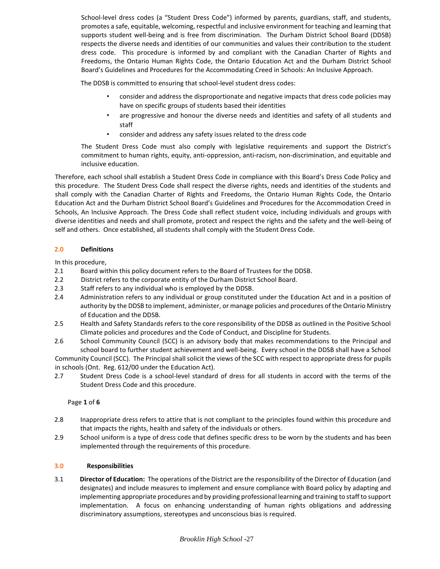School-level dress codes (a "Student Dress Code") informed by parents, guardians, staff, and students, promotes a safe, equitable, welcoming, respectful and inclusive environment for teaching and learning that supports student well-being and is free from discrimination. The Durham District School Board (DDSB) respects the diverse needs and identities of our communities and values their contribution to the student dress code. This procedure is informed by and compliant with the Canadian Charter of Rights and Freedoms, the Ontario Human Rights Code, the Ontario Education Act and the Durham District School Board's Guidelines and Procedures for the Accommodating Creed in Schools: An Inclusive Approach.

The DDSB is committed to ensuring that school-level student dress codes:

- consider and address the disproportionate and negative impacts that dress code policies may have on specific groups of students based their identities
- are progressive and honour the diverse needs and identities and safety of all students and staff
- consider and address any safety issues related to the dress code

The Student Dress Code must also comply with legislative requirements and support the District's commitment to human rights, equity, anti-oppression, anti-racism, non-discrimination, and equitable and inclusive education.

Therefore, each school shall establish a Student Dress Code in compliance with this Board's Dress Code Policy and this procedure. The Student Dress Code shall respect the diverse rights, needs and identities of the students and shall comply with the Canadian Charter of Rights and Freedoms, the Ontario Human Rights Code, the Ontario Education Act and the Durham District School Board's Guidelines and Procedures for the Accommodation Creed in Schools, An Inclusive Approach. The Dress Code shall reflect student voice, including individuals and groups with diverse identities and needs and shall promote, protect and respect the rights and the safety and the well-being of self and others. Once established, all students shall comply with the Student Dress Code.

# **2.0 Definitions**

In this procedure,

- 2.1 Board within this policy document refers to the Board of Trustees for the DDSB.
- 2.2 District refers to the corporate entity of the Durham District School Board.
- 2.3 Staff refers to any individual who is employed by the DDSB.
- 2.4 Administration refers to any individual or group constituted under the Education Act and in a position of authority by the DDSB to implement, administer, or manage policies and procedures of the Ontario Ministry of Education and the DDSB.
- 2.5 Health and Safety Standards refers to the core responsibility of the DDSB as outlined in the Positive School Climate policies and procedures and the Code of Conduct, and Discipline for Students.
- 2.6 School Community Council (SCC) is an advisory body that makes recommendations to the Principal and school board to further student achievement and well-being. Every school in the DDSB shall have a School

Community Council (SCC). The Principal shall solicit the views of the SCC with respect to appropriate dress for pupils in schools (Ont. Reg. 612/00 under the Education Act).

2.7 Student Dress Code is a school-level standard of dress for all students in accord with the terms of the Student Dress Code and this procedure.

Page **1** of **6**

- 2.8 Inappropriate dress refers to attire that is not compliant to the principles found within this procedure and that impacts the rights, health and safety of the individuals or others.
- 2.9 School uniform is a type of dress code that defines specific dress to be worn by the students and has been implemented through the requirements of this procedure.

# **3.0 Responsibilities**

3.1 **Director of Education:** The operations of the District are the responsibility of the Director of Education (and designates) and include measures to implement and ensure compliance with Board policy by adapting and implementing appropriate procedures and by providing professional learning and training to staff to support implementation. A focus on enhancing understanding of human rights obligations and addressing discriminatory assumptions, stereotypes and unconscious bias is required.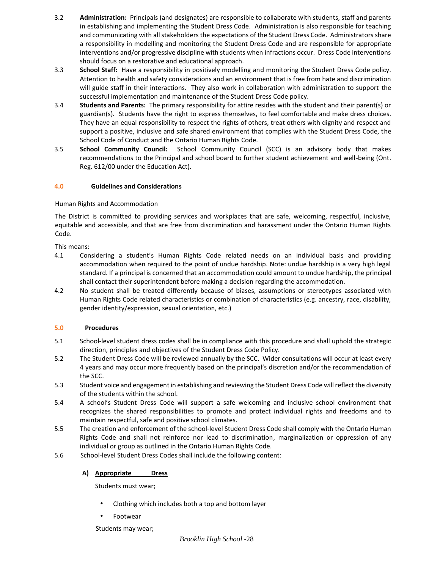- 3.2 **Administration:** Principals (and designates) are responsible to collaborate with students, staff and parents in establishing and implementing the Student Dress Code. Administration is also responsible for teaching and communicating with all stakeholders the expectations of the Student Dress Code. Administrators share a responsibility in modelling and monitoring the Student Dress Code and are responsible for appropriate interventions and/or progressive discipline with students when infractions occur. Dress Code interventions should focus on a restorative and educational approach.
- 3.3 **School Staff:** Have a responsibility in positively modelling and monitoring the Student Dress Code policy. Attention to health and safety considerations and an environment that is free from hate and discrimination will guide staff in their interactions. They also work in collaboration with administration to support the successful implementation and maintenance of the Student Dress Code policy.
- 3.4 **Students and Parents:** The primary responsibility for attire resides with the student and their parent(s) or guardian(s). Students have the right to express themselves, to feel comfortable and make dress choices. They have an equal responsibility to respect the rights of others, treat others with dignity and respect and support a positive, inclusive and safe shared environment that complies with the Student Dress Code, the School Code of Conduct and the Ontario Human Rights Code.
- 3.5 **School Community Council:** School Community Council (SCC) is an advisory body that makes recommendations to the Principal and school board to further student achievement and well-being (Ont. Reg. 612/00 under the Education Act).

# **4.0 Guidelines and Considerations**

Human Rights and Accommodation

The District is committed to providing services and workplaces that are safe, welcoming, respectful, inclusive, equitable and accessible, and that are free from discrimination and harassment under the Ontario Human Rights Code.

This means:

- 4.1 Considering a student's Human Rights Code related needs on an individual basis and providing accommodation when required to the point of undue hardship. Note: undue hardship is a very high legal standard. If a principal is concerned that an accommodation could amount to undue hardship, the principal shall contact their superintendent before making a decision regarding the accommodation.
- 4.2 No student shall be treated differently because of biases, assumptions or stereotypes associated with Human Rights Code related characteristics or combination of characteristics (e.g. ancestry, race, disability, gender identity/expression, sexual orientation, etc.)

# **5.0 Procedures**

- 5.1 School-level student dress codes shall be in compliance with this procedure and shall uphold the strategic direction, principles and objectives of the Student Dress Code Policy.
- 5.2 The Student Dress Code will be reviewed annually by the SCC. Wider consultations will occur at least every 4 years and may occur more frequently based on the principal's discretion and/or the recommendation of the SCC.
- 5.3 Student voice and engagement in establishing and reviewing the Student Dress Code will reflect the diversity of the students within the school.
- 5.4 A school's Student Dress Code will support a safe welcoming and inclusive school environment that recognizes the shared responsibilities to promote and protect individual rights and freedoms and to maintain respectful, safe and positive school climates.
- 5.5 The creation and enforcement of the school-level Student Dress Code shall comply with the Ontario Human Rights Code and shall not reinforce nor lead to discrimination, marginalization or oppression of any individual or group as outlined in the Ontario Human Rights Code.
- 5.6 School-level Student Dress Codes shall include the following content:

# **A) Appropriate Dress**

Students must wear;

- Clothing which includes both a top and bottom layer
- Footwear

Students may wear;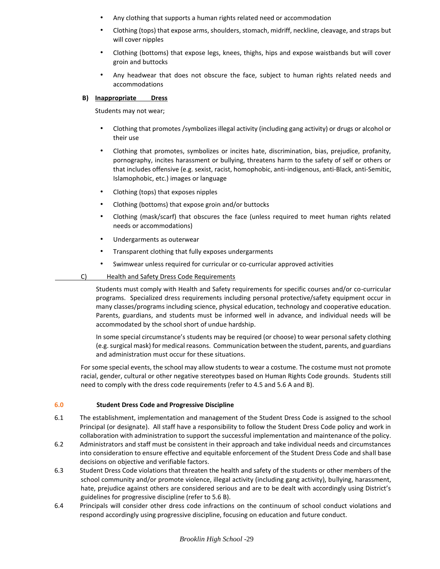- Any clothing that supports a human rights related need or accommodation
- Clothing (tops) that expose arms, shoulders, stomach, midriff, neckline, cleavage, and straps but will cover nipples
- Clothing (bottoms) that expose legs, knees, thighs, hips and expose waistbands but will cover groin and buttocks
- Any headwear that does not obscure the face, subject to human rights related needs and accommodations

### **B) Inappropriate Dress**

Students may not wear;

- Clothing that promotes /symbolizes illegal activity (including gang activity) or drugs or alcohol or their use
- Clothing that promotes, symbolizes or incites hate, discrimination, bias, prejudice, profanity, pornography, incites harassment or bullying, threatens harm to the safety of self or others or that includes offensive (e.g. sexist, racist, homophobic, anti-indigenous, anti-Black, anti-Semitic, Islamophobic, etc.) images or language
- Clothing (tops) that exposes nipples
- Clothing (bottoms) that expose groin and/or buttocks
- Clothing (mask/scarf) that obscures the face (unless required to meet human rights related needs or accommodations)
- Undergarments as outerwear
- Transparent clothing that fully exposes undergarments
- Swimwear unless required for curricular or co-curricular approved activities

# C) Health and Safety Dress Code Requirements

Students must comply with Health and Safety requirements for specific courses and/or co-curricular programs. Specialized dress requirements including personal protective/safety equipment occur in many classes/programs including science, physical education, technology and cooperative education. Parents, guardians, and students must be informed well in advance, and individual needs will be accommodated by the school short of undue hardship.

In some special circumstance's students may be required (or choose) to wear personal safety clothing (e.g. surgical mask) for medical reasons. Communication between the student, parents, and guardians and administration must occur for these situations.

For some special events, the school may allow students to wear a costume. The costume must not promote racial, gender, cultural or other negative stereotypes based on Human Rights Code grounds. Students still need to comply with the dress code requirements (refer to 4.5 and 5.6 A and B).

# **6.0 Student Dress Code and Progressive Discipline**

- 6.1 The establishment, implementation and management of the Student Dress Code is assigned to the school Principal (or designate). All staff have a responsibility to follow the Student Dress Code policy and work in collaboration with administration to support the successful implementation and maintenance of the policy.
- 6.2 Administrators and staff must be consistent in their approach and take individual needs and circumstances into consideration to ensure effective and equitable enforcement of the Student Dress Code and shall base decisions on objective and verifiable factors.
- 6.3 Student Dress Code violations that threaten the health and safety of the students or other members of the school community and/or promote violence, illegal activity (including gang activity), bullying, harassment, hate, prejudice against others are considered serious and are to be dealt with accordingly using District's guidelines for progressive discipline (refer to 5.6 B).
- 6.4 Principals will consider other dress code infractions on the continuum of school conduct violations and respond accordingly using progressive discipline, focusing on education and future conduct.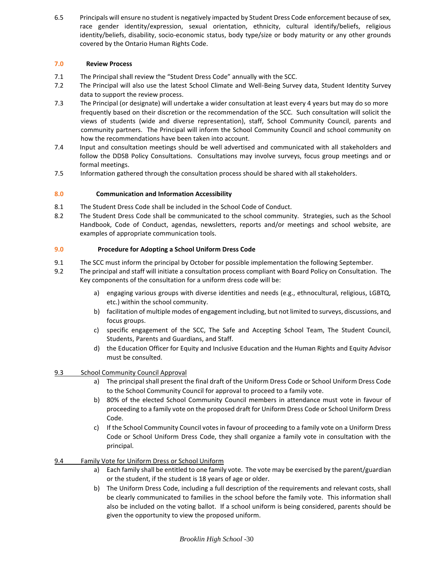6.5 Principals will ensure no student is negatively impacted by Student Dress Code enforcement because of sex, race gender identity/expression, sexual orientation, ethnicity, cultural identify/beliefs, religious identity/beliefs, disability, socio-economic status, body type/size or body maturity or any other grounds covered by the Ontario Human Rights Code.

# **7.0 Review Process**

- 7.1 The Principal shall review the "Student Dress Code" annually with the SCC.
- 7.2 The Principal will also use the latest School Climate and Well-Being Survey data, Student Identity Survey data to support the review process.
- 7.3 The Principal (or designate) will undertake a wider consultation at least every 4 years but may do so more frequently based on their discretion or the recommendation of the SCC. Such consultation will solicit the views of students (wide and diverse representation), staff, School Community Council, parents and community partners. The Principal will inform the School Community Council and school community on how the recommendations have been taken into account.
- 7.4 Input and consultation meetings should be well advertised and communicated with all stakeholders and follow the DDSB Policy Consultations. Consultations may involve surveys, focus group meetings and or formal meetings.
- 7.5 Information gathered through the consultation process should be shared with all stakeholders.

# **8.0 Communication and Information Accessibility**

- 8.1 The Student Dress Code shall be included in the School Code of Conduct.
- 8.2 The Student Dress Code shall be communicated to the school community. Strategies, such as the School Handbook, Code of Conduct, agendas, newsletters, reports and/or meetings and school website, are examples of appropriate communication tools.

# **9.0 Procedure for Adopting a School Uniform Dress Code**

- 9.1 The SCC must inform the principal by October for possible implementation the following September.
- 9.2 The principal and staff will initiate a consultation process compliant with Board Policy on Consultation. The Key components of the consultation for a uniform dress code will be:
	- a) engaging various groups with diverse identities and needs (e.g., ethnocultural, religious, LGBTQ, etc.) within the school community.
	- b) facilitation of multiple modes of engagement including, but not limited to surveys, discussions, and focus groups.
	- c) specific engagement of the SCC, The Safe and Accepting School Team, The Student Council, Students, Parents and Guardians, and Staff.
	- d) the Education Officer for Equity and Inclusive Education and the Human Rights and Equity Advisor must be consulted.

# 9.3 School Community Council Approval

- a) The principal shall present the final draft of the Uniform Dress Code or School Uniform Dress Code to the School Community Council for approval to proceed to a family vote.
- b) 80% of the elected School Community Council members in attendance must vote in favour of proceeding to a family vote on the proposed draft for Uniform Dress Code or School Uniform Dress Code.
- c) If the School Community Council votes in favour of proceeding to a family vote on a Uniform Dress Code or School Uniform Dress Code, they shall organize a family vote in consultation with the principal.

# 9.4 Family Vote for Uniform Dress or School Uniform

- a) Each family shall be entitled to one family vote. The vote may be exercised by the parent/guardian or the student, if the student is 18 years of age or older.
- b) The Uniform Dress Code, including a full description of the requirements and relevant costs, shall be clearly communicated to families in the school before the family vote. This information shall also be included on the voting ballot. If a school uniform is being considered, parents should be given the opportunity to view the proposed uniform.